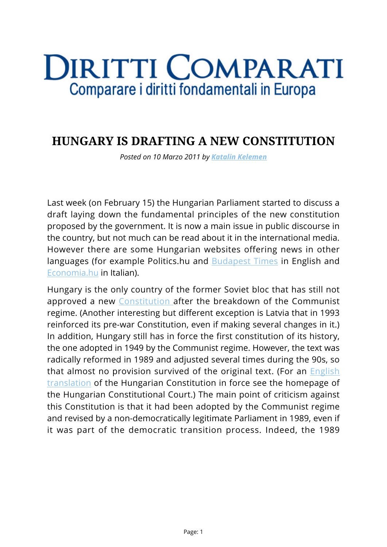## **DIRITTI COMPARATI** Comparare i diritti fondamentali in Europa

## **HUNGARY IS DRAFTING A NEW CONSTITUTION**

*Posted on 10 Marzo 2011 by [Katalin Kelemen](https://www.diritticomparati.it/autore/katalin-kelemen/)*

Last week (on February 15) the Hungarian Parliament started to discuss a draft laying down the fundamental principles of the new constitution proposed by the government. It is now a main issue in public discourse in the country, but not much can be read about it in the international media. However there are some Hungarian websites offering news in other languages (for example Politics.hu and **[Budapest Times](http://www.budapesttimes.hu/index.php?option=com_content&task=view&id=16795&Itemid=220)** in English and [Economia.hu](http://www.itlgroup.eu/magazine/index.php) in Italian).

Hungary is the only country of the former Soviet bloc that has still not approved a new [Constitution a](http://www.satv.tiesa.gov.lv/?lang=2&mid=8)fter the breakdown of the Communist regime. (Another interesting but different exception is Latvia that in 1993 reinforced its pre-war Constitution, even if making several changes in it.) In addition, Hungary still has in force the first constitution of its history, the one adopted in 1949 by the Communist regime. However, the text was radically reformed in 1989 and adjusted several times during the 90s, so that almost no provision survived of the original text. (For an *[English](http://www.mkab.hu/index.php?id=constitution)* [translation](http://www.mkab.hu/index.php?id=constitution) of the Hungarian Constitution in force see the homepage of the Hungarian Constitutional Court.) The main point of criticism against this Constitution is that it had been adopted by the Communist regime and revised by a non-democratically legitimate Parliament in 1989, even if it was part of the democratic transition process. Indeed, the 1989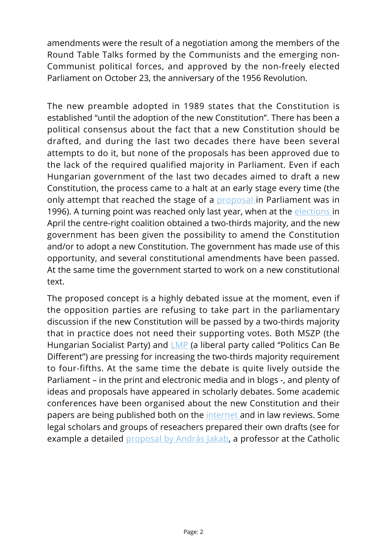amendments were the result of a negotiation among the members of the Round Table Talks formed by the Communists and the emerging non-Communist political forces, and approved by the non-freely elected Parliament on October 23, the anniversary of the 1956 Revolution.

The new preamble adopted in 1989 states that the Constitution is established "until the adoption of the new Constitution". There has been a political consensus about the fact that a new Constitution should be drafted, and during the last two decades there have been several attempts to do it, but none of the proposals has been approved due to the lack of the required qualified majority in Parliament. Even if each Hungarian government of the last two decades aimed to draft a new Constitution, the process came to a halt at an early stage every time (the only attempt that reached the stage of a [proposal i](http://www.parlament.hu/iromany/fulltext/03358txt.htm)n Parliament was in 1996). A turning point was reached only last year, when at the [elections](http://www.nsd.uib.no/european_election_database/country/hungary/) in April the centre-right coalition obtained a two-thirds majority, and the new government has been given the possibility to amend the Constitution and/or to adopt a new Constitution. The government has made use of this opportunity, and several constitutional amendments have been passed. At the same time the government started to work on a new constitutional text.

The proposed concept is a highly debated issue at the moment, even if the opposition parties are refusing to take part in the parliamentary discussion if the new Constitution will be passed by a two-thirds majority that in practice does not need their supporting votes. Both MSZP (the Hungarian Socialist Party) and [LMP](http://english.lehetmas.hu/news/428/three-demands-before-creating-a-new-constitution/) (a liberal party called "Politics Can Be Different") are pressing for increasing the two-thirds majority requirement to four-fifths. At the same time the debate is quite lively outside the Parliament – in the print and electronic media and in blogs -, and plenty of ideas and proposals have appeared in scholarly debates. Some academic conferences have been organised about the new Constitution and their papers are being published both on the [internet](http://www.plwp.jak.ppke.hu/hu/component/content/?view=featured) and in law reviews. Some legal scholars and groups of reseachers prepared their own drafts (see for example a detailed [proposal by András Jakab,](http://www.jak.ppke.hu/tanszek/alkotm/letolt/alkt.pdf) a professor at the Catholic